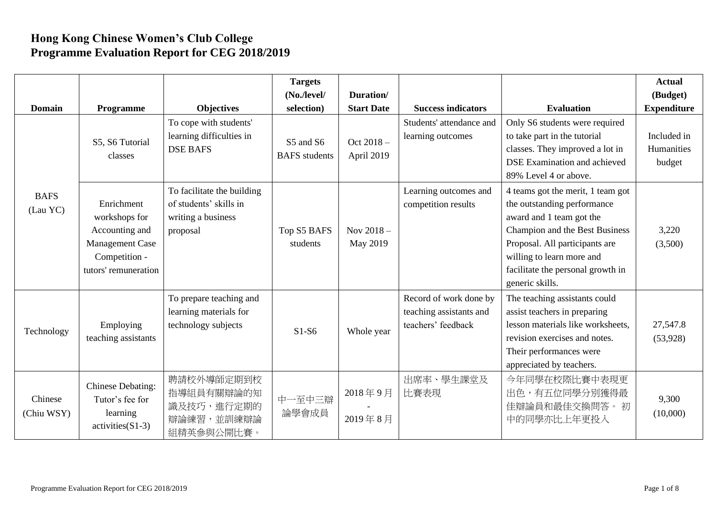## **Hong Kong Chinese Women's Club College Programme Evaluation Report for CEG 2018/2019**

| <b>Domain</b>           | Programme                                                                                                 | <b>Objectives</b>                                                                      | <b>Targets</b><br>$(No$ ./level/<br>selection) | Duration/<br><b>Start Date</b> | <b>Success indicators</b>                                               | <b>Evaluation</b>                                                                                                                                                                                                                                     | <b>Actual</b><br>(Budget)<br><b>Expenditure</b> |
|-------------------------|-----------------------------------------------------------------------------------------------------------|----------------------------------------------------------------------------------------|------------------------------------------------|--------------------------------|-------------------------------------------------------------------------|-------------------------------------------------------------------------------------------------------------------------------------------------------------------------------------------------------------------------------------------------------|-------------------------------------------------|
|                         | S5, S6 Tutorial<br>classes                                                                                | To cope with students'<br>learning difficulties in<br><b>DSE BAFS</b>                  | S5 and S6<br><b>BAFS</b> students              | Oct $2018 -$<br>April 2019     | Students' attendance and<br>learning outcomes                           | Only S6 students were required<br>to take part in the tutorial<br>classes. They improved a lot in<br>DSE Examination and achieved<br>89% Level 4 or above.                                                                                            | Included in<br>Humanities<br>budget             |
| <b>BAFS</b><br>(Lau YC) | Enrichment<br>workshops for<br>Accounting and<br>Management Case<br>Competition -<br>tutors' remuneration | To facilitate the building<br>of students' skills in<br>writing a business<br>proposal | Top S5 BAFS<br>students                        | Nov $2018 -$<br>May 2019       | Learning outcomes and<br>competition results                            | 4 teams got the merit, 1 team got<br>the outstanding performance<br>award and 1 team got the<br>Champion and the Best Business<br>Proposal. All participants are<br>willing to learn more and<br>facilitate the personal growth in<br>generic skills. | 3,220<br>(3,500)                                |
| Technology              | Employing<br>teaching assistants                                                                          | To prepare teaching and<br>learning materials for<br>technology subjects               | $S1-S6$                                        | Whole year                     | Record of work done by<br>teaching assistants and<br>teachers' feedback | The teaching assistants could<br>assist teachers in preparing<br>lesson materials like worksheets,<br>revision exercises and notes.<br>Their performances were<br>appreciated by teachers.                                                            | 27,547.8<br>(53,928)                            |
| Chinese<br>(Chiu WSY)   | Chinese Debating:<br>Tutor's fee for<br>learning<br>$activities(S1-3)$                                    | 聘請校外導師定期到校<br>指導組員有關辯論的知<br>識及技巧,進行定期的<br>辯論練習,並訓練辯論<br>組精英參與公開比賽。                     | 中一至中三辯<br>論學會成員                                | 2018年9月<br>2019年8月             | 出席率、學生課堂及<br>比賽表現                                                       | 今年同學在校際比賽中表現更<br>出色,有五位同學分別獲得最<br>佳辯論員和最佳交換問答。初<br>中的同學亦比上年更投入                                                                                                                                                                                        | 9,300<br>(10,000)                               |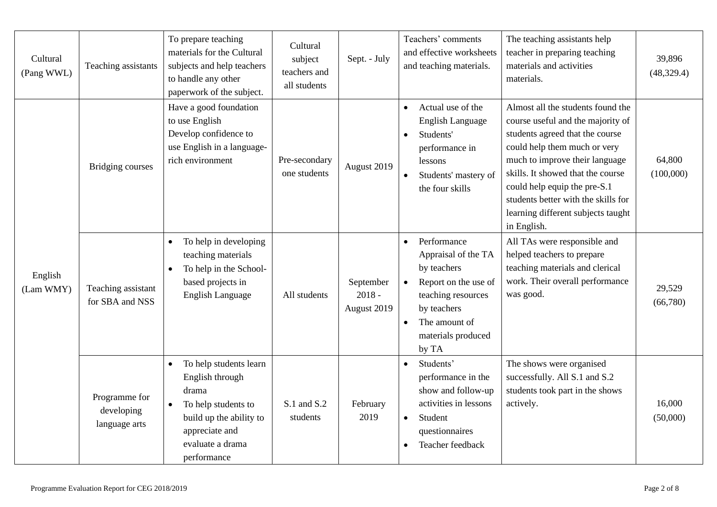| Cultural<br>(Pang WWL) | Teaching assistants                          | To prepare teaching<br>materials for the Cultural<br>subjects and help teachers<br>to handle any other<br>paperwork of the subject.                                                 | Cultural<br>subject<br>teachers and<br>all students | Sept. - July                         | Teachers' comments<br>and effective worksheets<br>and teaching materials.                                                                                                                | The teaching assistants help<br>teacher in preparing teaching<br>materials and activities<br>materials.                                                                                                                                                                                                                                      | 39,896<br>(48, 329.4) |
|------------------------|----------------------------------------------|-------------------------------------------------------------------------------------------------------------------------------------------------------------------------------------|-----------------------------------------------------|--------------------------------------|------------------------------------------------------------------------------------------------------------------------------------------------------------------------------------------|----------------------------------------------------------------------------------------------------------------------------------------------------------------------------------------------------------------------------------------------------------------------------------------------------------------------------------------------|-----------------------|
| English<br>(Lam WMY)   | <b>Bridging courses</b>                      | Have a good foundation<br>to use English<br>Develop confidence to<br>use English in a language-<br>rich environment                                                                 | Pre-secondary<br>one students                       | August 2019                          | Actual use of the<br>$\bullet$<br><b>English Language</b><br>Students'<br>performance in<br>lessons<br>Students' mastery of<br>$\bullet$<br>the four skills                              | Almost all the students found the<br>course useful and the majority of<br>students agreed that the course<br>could help them much or very<br>much to improve their language<br>skills. It showed that the course<br>could help equip the pre-S.1<br>students better with the skills for<br>learning different subjects taught<br>in English. | 64,800<br>(100,000)   |
|                        | Teaching assistant<br>for SBA and NSS        | To help in developing<br>$\bullet$<br>teaching materials<br>To help in the School-<br>$\bullet$<br>based projects in<br><b>English Language</b>                                     | All students                                        | September<br>$2018 -$<br>August 2019 | Performance<br>$\bullet$<br>Appraisal of the TA<br>by teachers<br>Report on the use of<br>teaching resources<br>by teachers<br>The amount of<br>$\bullet$<br>materials produced<br>by TA | All TAs were responsible and<br>helped teachers to prepare<br>teaching materials and clerical<br>work. Their overall performance<br>was good.                                                                                                                                                                                                | 29,529<br>(66,780)    |
|                        | Programme for<br>developing<br>language arts | To help students learn<br>$\bullet$<br>English through<br>drama<br>To help students to<br>$\bullet$<br>build up the ability to<br>appreciate and<br>evaluate a drama<br>performance | S.1 and S.2<br>students                             | February<br>2019                     | Students'<br>$\bullet$<br>performance in the<br>show and follow-up<br>activities in lessons<br>Student<br>$\bullet$<br>questionnaires<br>Teacher feedback<br>$\bullet$                   | The shows were organised<br>successfully. All S.1 and S.2<br>students took part in the shows<br>actively.                                                                                                                                                                                                                                    | 16,000<br>(50,000)    |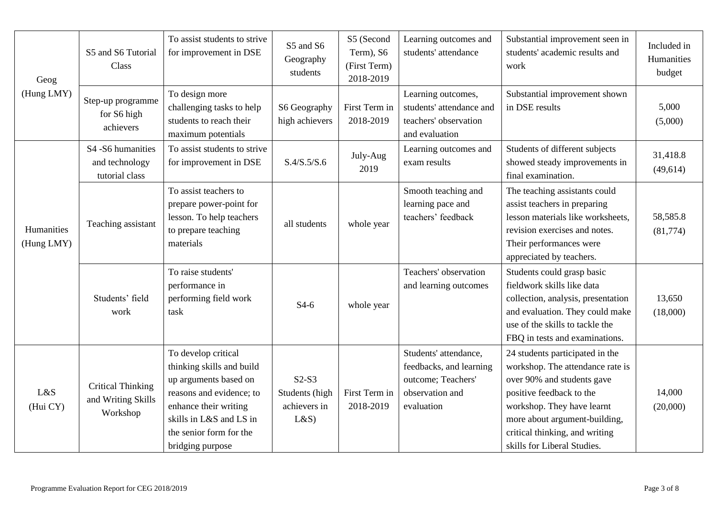| Geog<br>(Hung LMY)       | S5 and S6 Tutorial<br>Class                                | To assist students to strive<br>for improvement in DSE                                                                                                                                                   | S5 and S6<br>Geography<br>students               | S5 (Second<br>Term), S6<br>(First Term)<br>2018-2019 | Learning outcomes and<br>students' attendance                                                           | Substantial improvement seen in<br>students' academic results and<br>work                                                                                                                                                                                     | Included in<br>Humanities<br>budget |
|--------------------------|------------------------------------------------------------|----------------------------------------------------------------------------------------------------------------------------------------------------------------------------------------------------------|--------------------------------------------------|------------------------------------------------------|---------------------------------------------------------------------------------------------------------|---------------------------------------------------------------------------------------------------------------------------------------------------------------------------------------------------------------------------------------------------------------|-------------------------------------|
|                          | Step-up programme<br>for S6 high<br>achievers              | To design more<br>challenging tasks to help<br>students to reach their<br>maximum potentials                                                                                                             | S6 Geography<br>high achievers                   | First Term in<br>2018-2019                           | Learning outcomes,<br>students' attendance and<br>teachers' observation<br>and evaluation               | Substantial improvement shown<br>in DSE results                                                                                                                                                                                                               | 5,000<br>(5,000)                    |
| Humanities<br>(Hung LMY) | S4 -S6 humanities<br>and technology<br>tutorial class      | To assist students to strive<br>for improvement in DSE                                                                                                                                                   | S.4/S.5/S.6                                      | July-Aug<br>2019                                     | Learning outcomes and<br>exam results                                                                   | Students of different subjects<br>showed steady improvements in<br>final examination.                                                                                                                                                                         | 31,418.8<br>(49,614)                |
|                          | Teaching assistant                                         | To assist teachers to<br>prepare power-point for<br>lesson. To help teachers<br>to prepare teaching<br>materials                                                                                         | all students                                     | whole year                                           | Smooth teaching and<br>learning pace and<br>teachers' feedback                                          | The teaching assistants could<br>assist teachers in preparing<br>lesson materials like worksheets,<br>revision exercises and notes.<br>Their performances were<br>appreciated by teachers.                                                                    | 58,585.8<br>(81,774)                |
|                          | Students' field<br>work                                    | To raise students'<br>performance in<br>performing field work<br>task                                                                                                                                    | $S4-6$                                           | whole year                                           | Teachers' observation<br>and learning outcomes                                                          | Students could grasp basic<br>fieldwork skills like data<br>collection, analysis, presentation<br>and evaluation. They could make<br>use of the skills to tackle the<br>FBQ in tests and examinations.                                                        | 13,650<br>(18,000)                  |
| L&S<br>(Hui CY)          | <b>Critical Thinking</b><br>and Writing Skills<br>Workshop | To develop critical<br>thinking skills and build<br>up arguments based on<br>reasons and evidence; to<br>enhance their writing<br>skills in L&S and LS in<br>the senior form for the<br>bridging purpose | $S2-S3$<br>Students (high<br>achievers in<br>L&S | First Term in<br>2018-2019                           | Students' attendance,<br>feedbacks, and learning<br>outcome; Teachers'<br>observation and<br>evaluation | 24 students participated in the<br>workshop. The attendance rate is<br>over 90% and students gave<br>positive feedback to the<br>workshop. They have learnt<br>more about argument-building,<br>critical thinking, and writing<br>skills for Liberal Studies. | 14,000<br>(20,000)                  |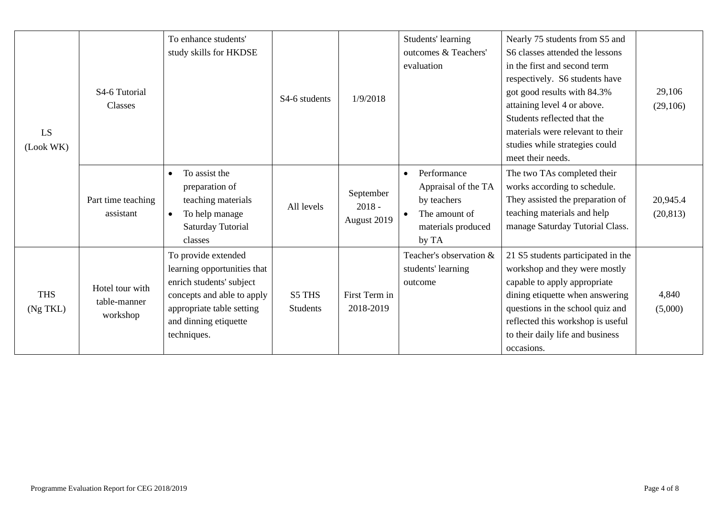| LS<br>(Look WK)        | S4-6 Tutorial<br><b>Classes</b>             | To enhance students'<br>study skills for HKDSE                                                                                                                                    | S4-6 students             | 1/9/2018                             | Students' learning<br>outcomes & Teachers'<br>evaluation                                                       | Nearly 75 students from S5 and<br>S6 classes attended the lessons<br>in the first and second term<br>respectively. S6 students have<br>got good results with 84.3%<br>attaining level 4 or above.<br>Students reflected that the<br>materials were relevant to their<br>studies while strategies could<br>meet their needs. | 29,106<br>(29,106)    |
|------------------------|---------------------------------------------|-----------------------------------------------------------------------------------------------------------------------------------------------------------------------------------|---------------------------|--------------------------------------|----------------------------------------------------------------------------------------------------------------|-----------------------------------------------------------------------------------------------------------------------------------------------------------------------------------------------------------------------------------------------------------------------------------------------------------------------------|-----------------------|
|                        | Part time teaching<br>assistant             | To assist the<br>$\bullet$<br>preparation of<br>teaching materials<br>To help manage<br>$\bullet$<br>Saturday Tutorial<br>classes                                                 | All levels                | September<br>$2018 -$<br>August 2019 | Performance<br>$\bullet$<br>Appraisal of the TA<br>by teachers<br>The amount of<br>materials produced<br>by TA | The two TAs completed their<br>works according to schedule.<br>They assisted the preparation of<br>teaching materials and help<br>manage Saturday Tutorial Class.                                                                                                                                                           | 20,945.4<br>(20, 813) |
| <b>THS</b><br>(Ng TKL) | Hotel tour with<br>table-manner<br>workshop | To provide extended<br>learning opportunities that<br>enrich students' subject<br>concepts and able to apply<br>appropriate table setting<br>and dinning etiquette<br>techniques. | S5 THS<br><b>Students</b> | First Term in<br>2018-2019           | Teacher's observation &<br>students' learning<br>outcome                                                       | 21 S5 students participated in the<br>workshop and they were mostly<br>capable to apply appropriate<br>dining etiquette when answering<br>questions in the school quiz and<br>reflected this workshop is useful<br>to their daily life and business<br>occasions.                                                           | 4,840<br>(5,000)      |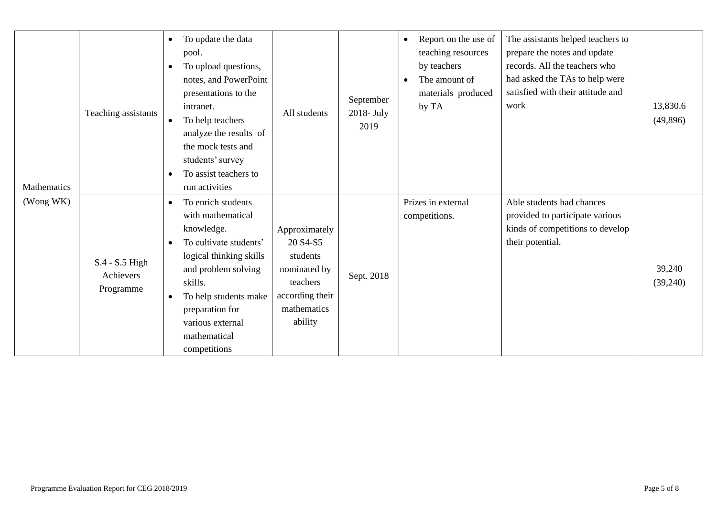| Mathematics | Teaching assistants                        | To update the data<br>$\bullet$<br>pool.<br>To upload questions,<br>٠<br>notes, and PowerPoint<br>presentations to the<br>intranet.<br>To help teachers<br>$\bullet$<br>analyze the results of<br>the mock tests and<br>students' survey<br>To assist teachers to<br>$\bullet$<br>run activities | All students                                                                                                   | September<br>$2018$ - July<br>2019 | Report on the use of<br>$\bullet$<br>teaching resources<br>by teachers<br>The amount of<br>materials produced<br>by TA | The assistants helped teachers to<br>prepare the notes and update<br>records. All the teachers who<br>had asked the TAs to help were<br>satisfied with their attitude and<br>work | 13,830.6<br>(49,896) |
|-------------|--------------------------------------------|--------------------------------------------------------------------------------------------------------------------------------------------------------------------------------------------------------------------------------------------------------------------------------------------------|----------------------------------------------------------------------------------------------------------------|------------------------------------|------------------------------------------------------------------------------------------------------------------------|-----------------------------------------------------------------------------------------------------------------------------------------------------------------------------------|----------------------|
| (Wong WK)   | $S.4 - S.5$ High<br>Achievers<br>Programme | To enrich students<br>$\bullet$<br>with mathematical<br>knowledge.<br>To cultivate students'<br>$\bullet$<br>logical thinking skills<br>and problem solving<br>skills.<br>To help students make<br>$\bullet$<br>preparation for<br>various external<br>mathematical<br>competitions              | Approximately<br>20 S4-S5<br>students<br>nominated by<br>teachers<br>according their<br>mathematics<br>ability | Sept. 2018                         | Prizes in external<br>competitions.                                                                                    | Able students had chances<br>provided to participate various<br>kinds of competitions to develop<br>their potential.                                                              | 39,240<br>(39,240)   |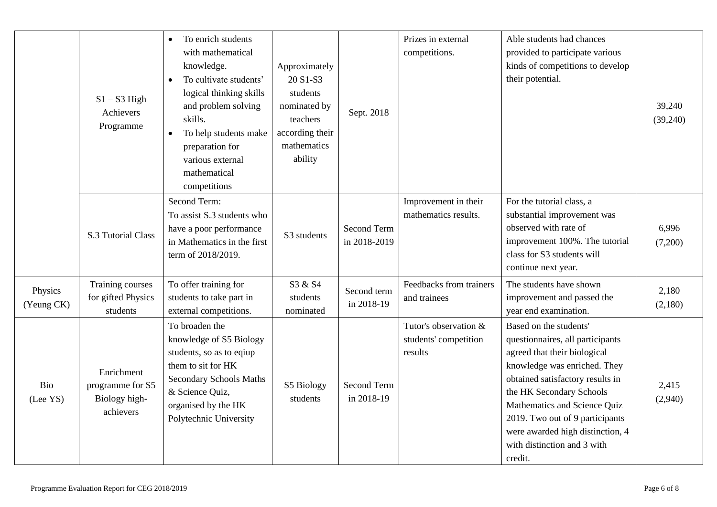|                       | $S1 - S3$ High<br>Achievers<br>Programme                     | To enrich students<br>$\bullet$<br>with mathematical<br>knowledge.<br>To cultivate students'<br>$\bullet$<br>logical thinking skills<br>and problem solving<br>skills.<br>To help students make<br>preparation for<br>various external<br>mathematical<br>competitions | Approximately<br>20 S1-S3<br>students<br>nominated by<br>teachers<br>according their<br>mathematics<br>ability | Sept. 2018                  | Prizes in external<br>competitions.                       | Able students had chances<br>provided to participate various<br>kinds of competitions to develop<br>their potential.                                                                                                                                                                                                                        | 39,240<br>(39,240) |
|-----------------------|--------------------------------------------------------------|------------------------------------------------------------------------------------------------------------------------------------------------------------------------------------------------------------------------------------------------------------------------|----------------------------------------------------------------------------------------------------------------|-----------------------------|-----------------------------------------------------------|---------------------------------------------------------------------------------------------------------------------------------------------------------------------------------------------------------------------------------------------------------------------------------------------------------------------------------------------|--------------------|
|                       | S.3 Tutorial Class                                           | Second Term:<br>To assist S.3 students who<br>have a poor performance<br>in Mathematics in the first<br>term of 2018/2019.                                                                                                                                             | S3 students                                                                                                    | Second Term<br>in 2018-2019 | Improvement in their<br>mathematics results.              | For the tutorial class, a<br>substantial improvement was<br>observed with rate of<br>improvement 100%. The tutorial<br>class for S3 students will<br>continue next year.                                                                                                                                                                    | 6,996<br>(7,200)   |
| Physics<br>(Yeung CK) | Training courses<br>for gifted Physics<br>students           | To offer training for<br>students to take part in<br>external competitions.                                                                                                                                                                                            | S3 & S4<br>students<br>nominated                                                                               | Second term<br>in 2018-19   | Feedbacks from trainers<br>and trainees                   | The students have shown<br>improvement and passed the<br>year end examination.                                                                                                                                                                                                                                                              | 2,180<br>(2,180)   |
| Bio<br>(Lee YS)       | Enrichment<br>programme for S5<br>Biology high-<br>achievers | To broaden the<br>knowledge of S5 Biology<br>students, so as to eqiup<br>them to sit for HK<br><b>Secondary Schools Maths</b><br>& Science Quiz,<br>organised by the HK<br>Polytechnic University                                                                      | S5 Biology<br>students                                                                                         | Second Term<br>in 2018-19   | Tutor's observation &<br>students' competition<br>results | Based on the students'<br>questionnaires, all participants<br>agreed that their biological<br>knowledge was enriched. They<br>obtained satisfactory results in<br>the HK Secondary Schools<br>Mathematics and Science Quiz<br>2019. Two out of 9 participants<br>were awarded high distinction, 4<br>with distinction and 3 with<br>credit. | 2,415<br>(2,940)   |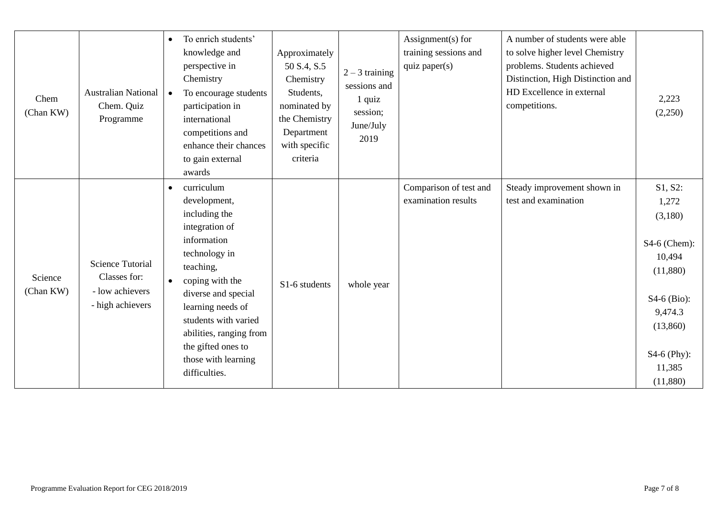| Chem<br>(Chan KW)    | <b>Australian National</b><br>Chem. Quiz<br>Programme                          | To enrich students'<br>$\bullet$<br>knowledge and<br>perspective in<br>Chemistry<br>To encourage students<br>$\bullet$<br>participation in<br>international<br>competitions and<br>enhance their chances<br>to gain external<br>awards                                                                               | Approximately<br>50 S.4, S.5<br>Chemistry<br>Students,<br>nominated by<br>the Chemistry<br>Department<br>with specific<br>criteria | $2 - 3$ training<br>sessions and<br>1 quiz<br>session;<br>June/July<br>2019 | Assignment(s) for<br>training sessions and<br>quiz paper(s) | A number of students were able<br>to solve higher level Chemistry<br>problems. Students achieved<br>Distinction, High Distinction and<br>HD Excellence in external<br>competitions. | 2,223<br>(2,250)                                                                                                                               |
|----------------------|--------------------------------------------------------------------------------|----------------------------------------------------------------------------------------------------------------------------------------------------------------------------------------------------------------------------------------------------------------------------------------------------------------------|------------------------------------------------------------------------------------------------------------------------------------|-----------------------------------------------------------------------------|-------------------------------------------------------------|-------------------------------------------------------------------------------------------------------------------------------------------------------------------------------------|------------------------------------------------------------------------------------------------------------------------------------------------|
| Science<br>(Chan KW) | <b>Science Tutorial</b><br>Classes for:<br>- low achievers<br>- high achievers | curriculum<br>$\bullet$<br>development,<br>including the<br>integration of<br>information<br>technology in<br>teaching,<br>coping with the<br>$\bullet$<br>diverse and special<br>learning needs of<br>students with varied<br>abilities, ranging from<br>the gifted ones to<br>those with learning<br>difficulties. | S1-6 students                                                                                                                      | whole year                                                                  | Comparison of test and<br>examination results               | Steady improvement shown in<br>test and examination                                                                                                                                 | S1, S2:<br>1,272<br>(3,180)<br>S4-6 (Chem):<br>10,494<br>(11,880)<br>$S4-6$ (Bio):<br>9,474.3<br>(13,860)<br>S4-6 (Phy):<br>11,385<br>(11,880) |